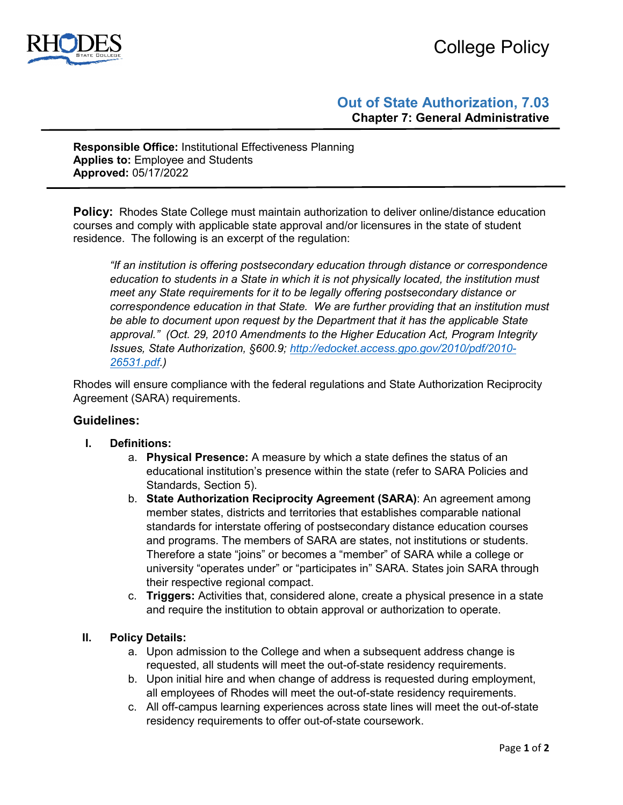



# **Out of State Authorization, 7.03 Chapter 7: General Administrative**

**Responsible Office:** Institutional Effectiveness Planning **Applies to:** Employee and Students **Approved:** 05/17/2022

**Policy:** Rhodes State College must maintain authorization to deliver online/distance education courses and comply with applicable state approval and/or licensures in the state of student residence. The following is an excerpt of the regulation:

*"If an institution is offering postsecondary education through distance or correspondence education to students in a State in which it is not physically located, the institution must meet any State requirements for it to be legally offering postsecondary distance or correspondence education in that State. We are further providing that an institution must be able to document upon request by the Department that it has the applicable State approval." (Oct. 29, 2010 Amendments to the Higher Education Act, Program Integrity Issues, State Authorization, §600.9; [http://edocket.access.gpo.gov/2010/pdf/2010-](http://edocket.access.gpo.gov/2010/pdf/2010-26531.pdf) [26531.pdf.](http://edocket.access.gpo.gov/2010/pdf/2010-26531.pdf))*

Rhodes will ensure compliance with the federal regulations and State Authorization Reciprocity Agreement (SARA) requirements.

## **Guidelines:**

- **I. Definitions:** 
	- a. **Physical Presence:** A measure by which a state defines the status of an educational institution's presence within the state (refer to SARA Policies and Standards, Section 5).
	- b. **State Authorization Reciprocity Agreement (SARA)**: An agreement among member states, districts and territories that establishes comparable national standards for interstate offering of postsecondary distance education courses and programs. The members of SARA are states, not institutions or students. Therefore a state "joins" or becomes a "member" of SARA while a college or university "operates under" or "participates in" SARA. States join SARA through their respective regional compact.
	- c. **Triggers:** Activities that, considered alone, create a physical presence in a state and require the institution to obtain approval or authorization to operate.

### **II. Policy Details:**

- a. Upon admission to the College and when a subsequent address change is requested, all students will meet the out-of-state residency requirements.
- b. Upon initial hire and when change of address is requested during employment, all employees of Rhodes will meet the out-of-state residency requirements.
- c. All off-campus learning experiences across state lines will meet the out-of-state residency requirements to offer out-of-state coursework.